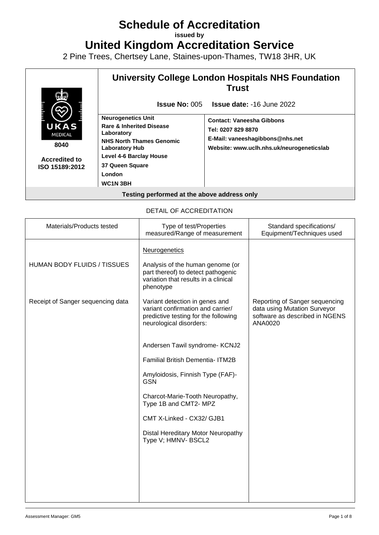# **Schedule of Accreditation**

**issued by**

**United Kingdom Accreditation Service**

2 Pine Trees, Chertsey Lane, Staines-upon-Thames, TW18 3HR, UK



## DETAIL OF ACCREDITATION

| Materials/Products tested         | Type of test/Properties<br>measured/Range of measurement                                                                               | Standard specifications/<br>Equipment/Techniques used                                                       |
|-----------------------------------|----------------------------------------------------------------------------------------------------------------------------------------|-------------------------------------------------------------------------------------------------------------|
| HUMAN BODY FLUIDS / TISSUES       | <b>Neurogenetics</b><br>Analysis of the human genome (or<br>part thereof) to detect pathogenic                                         |                                                                                                             |
|                                   | variation that results in a clinical<br>phenotype                                                                                      |                                                                                                             |
| Receipt of Sanger sequencing data | Variant detection in genes and<br>variant confirmation and carrier/<br>predictive testing for the following<br>neurological disorders: | Reporting of Sanger sequencing<br>data using Mutation Surveyor<br>software as described in NGENS<br>ANA0020 |
|                                   | Andersen Tawil syndrome- KCNJ2                                                                                                         |                                                                                                             |
|                                   | <b>Familial British Dementia- ITM2B</b>                                                                                                |                                                                                                             |
|                                   | Amyloidosis, Finnish Type (FAF)-<br><b>GSN</b>                                                                                         |                                                                                                             |
|                                   | Charcot-Marie-Tooth Neuropathy,<br>Type 1B and CMT2- MPZ                                                                               |                                                                                                             |
|                                   | CMT X-Linked - CX32/ GJB1                                                                                                              |                                                                                                             |
|                                   | Distal Hereditary Motor Neuropathy<br>Type V; HMNV- BSCL2                                                                              |                                                                                                             |
|                                   |                                                                                                                                        |                                                                                                             |
|                                   |                                                                                                                                        |                                                                                                             |
|                                   |                                                                                                                                        |                                                                                                             |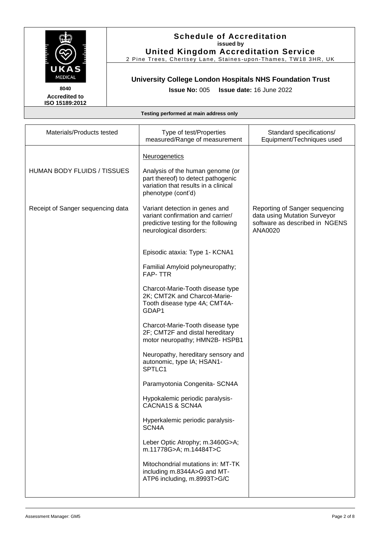

2 Pine Trees, Chertsey Lane, Staines-upon-Thames, TW18 3HR, UK

# **University College London Hospitals NHS Foundation Trust**

**Issue No:** 005 **Issue date:** 16 June 2022

**Accredited to ISO 15189:2012** 

| Materials/Products tested         | Type of test/Properties<br>measured/Range of measurement                                                                               | Standard specifications/<br>Equipment/Techniques used                                                       |
|-----------------------------------|----------------------------------------------------------------------------------------------------------------------------------------|-------------------------------------------------------------------------------------------------------------|
|                                   | <b>Neurogenetics</b>                                                                                                                   |                                                                                                             |
| HUMAN BODY FLUIDS / TISSUES       | Analysis of the human genome (or<br>part thereof) to detect pathogenic<br>variation that results in a clinical<br>phenotype (cont'd)   |                                                                                                             |
| Receipt of Sanger sequencing data | Variant detection in genes and<br>variant confirmation and carrier/<br>predictive testing for the following<br>neurological disorders: | Reporting of Sanger sequencing<br>data using Mutation Surveyor<br>software as described in NGENS<br>ANA0020 |
|                                   | Episodic ataxia: Type 1- KCNA1                                                                                                         |                                                                                                             |
|                                   | Familial Amyloid polyneuropathy;<br><b>FAP-TTR</b>                                                                                     |                                                                                                             |
|                                   | Charcot-Marie-Tooth disease type<br>2K; CMT2K and Charcot-Marie-<br>Tooth disease type 4A; CMT4A-<br>GDAP1                             |                                                                                                             |
|                                   | Charcot-Marie-Tooth disease type<br>2F; CMT2F and distal hereditary<br>motor neuropathy; HMN2B- HSPB1                                  |                                                                                                             |
|                                   | Neuropathy, hereditary sensory and<br>autonomic, type IA; HSAN1-<br>SPTLC1                                                             |                                                                                                             |
|                                   | Paramyotonia Congenita- SCN4A                                                                                                          |                                                                                                             |
|                                   | Hypokalemic periodic paralysis-<br>CACNA1S & SCN4A                                                                                     |                                                                                                             |
|                                   | Hyperkalemic periodic paralysis-<br>SCN4A                                                                                              |                                                                                                             |
|                                   | Leber Optic Atrophy; m.3460G>A;<br>m.11778G>A; m.14484T>C                                                                              |                                                                                                             |
|                                   | Mitochondrial mutations in: MT-TK<br>including m.8344A>G and MT-<br>ATP6 including, m.8993T>G/C                                        |                                                                                                             |
|                                   |                                                                                                                                        |                                                                                                             |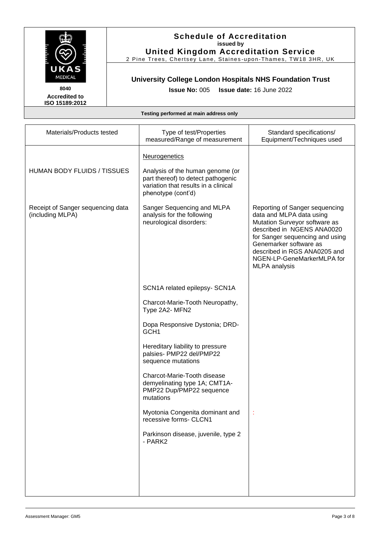

2 Pine Trees, Chertsey Lane, Staines-upon-Thames, TW18 3HR, UK

# **University College London Hospitals NHS Foundation Trust**

**Issue No:** 005 **Issue date:** 16 June 2022

**Accredited to ISO 15189:2012** 

| Materials/Products tested                             | Type of test/Properties<br>measured/Range of measurement                                                                                              | Standard specifications/<br>Equipment/Techniques used                                                                                                                                                                                                                        |
|-------------------------------------------------------|-------------------------------------------------------------------------------------------------------------------------------------------------------|------------------------------------------------------------------------------------------------------------------------------------------------------------------------------------------------------------------------------------------------------------------------------|
| HUMAN BODY FLUIDS / TISSUES                           | Neurogenetics<br>Analysis of the human genome (or<br>part thereof) to detect pathogenic<br>variation that results in a clinical<br>phenotype (cont'd) |                                                                                                                                                                                                                                                                              |
| Receipt of Sanger sequencing data<br>(including MLPA) | Sanger Sequencing and MLPA<br>analysis for the following<br>neurological disorders:                                                                   | Reporting of Sanger sequencing<br>data and MLPA data using<br>Mutation Surveyor software as<br>described in NGENS ANA0020<br>for Sanger sequencing and using<br>Genemarker software as<br>described in RGS ANA0205 and<br>NGEN-LP-GeneMarkerMLPA for<br><b>MLPA</b> analysis |
|                                                       | SCN1A related epilepsy- SCN1A                                                                                                                         |                                                                                                                                                                                                                                                                              |
|                                                       | Charcot-Marie-Tooth Neuropathy,<br>Type 2A2- MFN2                                                                                                     |                                                                                                                                                                                                                                                                              |
|                                                       | Dopa Responsive Dystonia; DRD-<br>GCH <sub>1</sub>                                                                                                    |                                                                                                                                                                                                                                                                              |
|                                                       | Hereditary liability to pressure<br>palsies- PMP22 del/PMP22<br>sequence mutations                                                                    |                                                                                                                                                                                                                                                                              |
|                                                       | Charcot-Marie-Tooth disease<br>demyelinating type 1A; CMT1A-<br>PMP22 Dup/PMP22 sequence<br>mutations                                                 |                                                                                                                                                                                                                                                                              |
|                                                       | Myotonia Congenita dominant and<br>recessive forms- CLCN1                                                                                             |                                                                                                                                                                                                                                                                              |
|                                                       | Parkinson disease, juvenile, type 2<br>- PARK2                                                                                                        |                                                                                                                                                                                                                                                                              |
|                                                       |                                                                                                                                                       |                                                                                                                                                                                                                                                                              |
|                                                       |                                                                                                                                                       |                                                                                                                                                                                                                                                                              |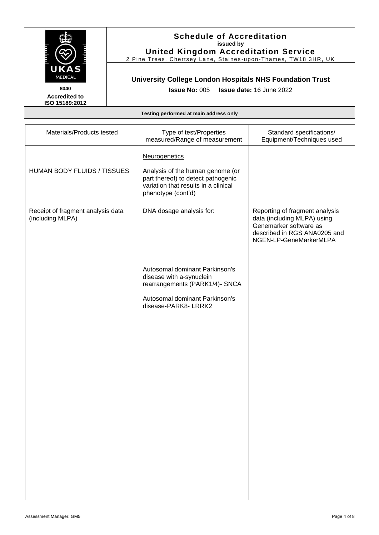

2 Pine Trees, Chertsey Lane, Staines-upon-Thames, TW18 3HR, UK

# **University College London Hospitals NHS Foundation Trust**

**Issue No:** 005 **Issue date:** 16 June 2022

**Accredited to ISO 15189:2012** 

| Materials/Products tested                             | Type of test/Properties<br>measured/Range of measurement                                                                                              | Standard specifications/<br>Equipment/Techniques used                                                                                             |
|-------------------------------------------------------|-------------------------------------------------------------------------------------------------------------------------------------------------------|---------------------------------------------------------------------------------------------------------------------------------------------------|
| HUMAN BODY FLUIDS / TISSUES                           | Neurogenetics<br>Analysis of the human genome (or<br>part thereof) to detect pathogenic<br>variation that results in a clinical<br>phenotype (cont'd) |                                                                                                                                                   |
| Receipt of fragment analysis data<br>(including MLPA) | DNA dosage analysis for:                                                                                                                              | Reporting of fragment analysis<br>data (including MLPA) using<br>Genemarker software as<br>described in RGS ANA0205 and<br>NGEN-LP-GeneMarkerMLPA |
|                                                       | Autosomal dominant Parkinson's<br>disease with a-synuclein<br>rearrangements (PARK1/4)- SNCA                                                          |                                                                                                                                                   |
|                                                       | Autosomal dominant Parkinson's<br>disease-PARK8- LRRK2                                                                                                |                                                                                                                                                   |
|                                                       |                                                                                                                                                       |                                                                                                                                                   |
|                                                       |                                                                                                                                                       |                                                                                                                                                   |
|                                                       |                                                                                                                                                       |                                                                                                                                                   |
|                                                       |                                                                                                                                                       |                                                                                                                                                   |
|                                                       |                                                                                                                                                       |                                                                                                                                                   |
|                                                       |                                                                                                                                                       |                                                                                                                                                   |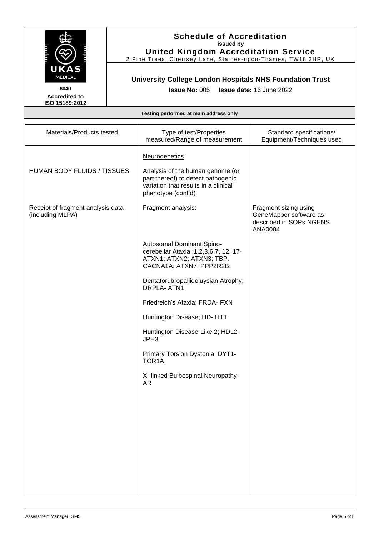

2 Pine Trees, Chertsey Lane, Staines -upon -Thames, TW18 3HR, UK

## **University College London Hospitals NHS Foundation Trust**

**Issue No:** 005 **Issue date:** 16 June 2022

**Accredited to ISO 15189:2012** 

| Materials/Products tested                             | Type of test/Properties<br>measured/Range of measurement                                                                             | Standard specifications/<br>Equipment/Techniques used                                 |
|-------------------------------------------------------|--------------------------------------------------------------------------------------------------------------------------------------|---------------------------------------------------------------------------------------|
|                                                       | <b>Neurogenetics</b>                                                                                                                 |                                                                                       |
| HUMAN BODY FLUIDS / TISSUES                           | Analysis of the human genome (or<br>part thereof) to detect pathogenic<br>variation that results in a clinical<br>phenotype (cont'd) |                                                                                       |
| Receipt of fragment analysis data<br>(including MLPA) | Fragment analysis:                                                                                                                   | Fragment sizing using<br>GeneMapper software as<br>described in SOPs NGENS<br>ANA0004 |
|                                                       | Autosomal Dominant Spino-<br>cerebellar Ataxia : 1, 2, 3, 6, 7, 12, 17-<br>ATXN1; ATXN2; ATXN3; TBP,<br>CACNA1A; ATXN7; PPP2R2B;     |                                                                                       |
|                                                       | Dentatorubropallidoluysian Atrophy;<br>DRPLA-ATN1                                                                                    |                                                                                       |
|                                                       | Friedreich's Ataxia; FRDA- FXN                                                                                                       |                                                                                       |
|                                                       | Huntington Disease; HD- HTT                                                                                                          |                                                                                       |
|                                                       | Huntington Disease-Like 2; HDL2-<br>JPH3                                                                                             |                                                                                       |
|                                                       | Primary Torsion Dystonia; DYT1-<br>TOR <sub>1</sub> A                                                                                |                                                                                       |
|                                                       | X- linked Bulbospinal Neuropathy-<br><b>AR</b>                                                                                       |                                                                                       |
|                                                       |                                                                                                                                      |                                                                                       |
|                                                       |                                                                                                                                      |                                                                                       |
|                                                       |                                                                                                                                      |                                                                                       |
|                                                       |                                                                                                                                      |                                                                                       |
|                                                       |                                                                                                                                      |                                                                                       |
|                                                       |                                                                                                                                      |                                                                                       |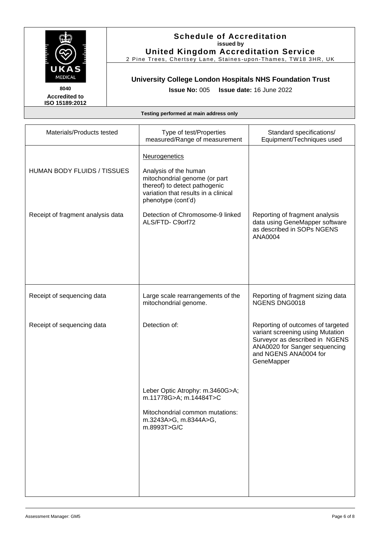

2 Pine Trees, Chertsey Lane, Staines -upon -Thames, TW18 3HR, UK

# **University College London Hospitals NHS Foundation Trust**

**Issue No:** 005 **Issue date:** 16 June 2022

**Accredited to ISO 15189:2012** 

| Materials/Products tested         | Type of test/Properties<br>measured/Range of measurement                                                                                                                      | Standard specifications/<br>Equipment/Techniques used                                                                                                                           |
|-----------------------------------|-------------------------------------------------------------------------------------------------------------------------------------------------------------------------------|---------------------------------------------------------------------------------------------------------------------------------------------------------------------------------|
| HUMAN BODY FLUIDS / TISSUES       | <b>Neurogenetics</b><br>Analysis of the human<br>mitochondrial genome (or part<br>thereof) to detect pathogenic<br>variation that results in a clinical<br>phenotype (cont'd) |                                                                                                                                                                                 |
| Receipt of fragment analysis data | Detection of Chromosome-9 linked<br>ALS/FTD-C9orf72                                                                                                                           | Reporting of fragment analysis<br>data using GeneMapper software<br>as described in SOPs NGENS<br>ANA0004                                                                       |
| Receipt of sequencing data        | Large scale rearrangements of the<br>mitochondrial genome.                                                                                                                    | Reporting of fragment sizing data<br><b>NGENS DNG0018</b>                                                                                                                       |
| Receipt of sequencing data        | Detection of:                                                                                                                                                                 | Reporting of outcomes of targeted<br>variant screening using Mutation<br>Surveyor as described in NGENS<br>ANA0020 for Sanger sequencing<br>and NGENS ANA0004 for<br>GeneMapper |
|                                   | Leber Optic Atrophy: m.3460G>A;<br>m.11778G>A; m.14484T>C<br>Mitochondrial common mutations:<br>m.3243A>G, m.8344A>G,<br>m.8993T>G/C                                          |                                                                                                                                                                                 |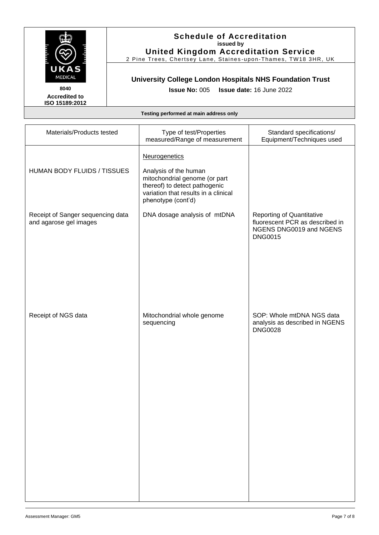

2 Pine Trees, Chertsey Lane, Staines-upon-Thames, TW18 3HR, UK

# **University College London Hospitals NHS Foundation Trust**

**Issue No:** 005 **Issue date:** 16 June 2022

**Accredited to ISO 15189:2012** 

| Materials/Products tested                                   | Type of test/Properties<br>measured/Range of measurement                                                                                                               | Standard specifications/<br>Equipment/Techniques used                                                            |
|-------------------------------------------------------------|------------------------------------------------------------------------------------------------------------------------------------------------------------------------|------------------------------------------------------------------------------------------------------------------|
| HUMAN BODY FLUIDS / TISSUES                                 | Neurogenetics<br>Analysis of the human<br>mitochondrial genome (or part<br>thereof) to detect pathogenic<br>variation that results in a clinical<br>phenotype (cont'd) |                                                                                                                  |
| Receipt of Sanger sequencing data<br>and agarose gel images | DNA dosage analysis of mtDNA                                                                                                                                           | <b>Reporting of Quantitative</b><br>fluorescent PCR as described in<br>NGENS DNG0019 and NGENS<br><b>DNG0015</b> |
| Receipt of NGS data                                         | Mitochondrial whole genome<br>sequencing                                                                                                                               | SOP: Whole mtDNA NGS data<br>analysis as described in NGENS<br><b>DNG0028</b>                                    |
|                                                             |                                                                                                                                                                        |                                                                                                                  |